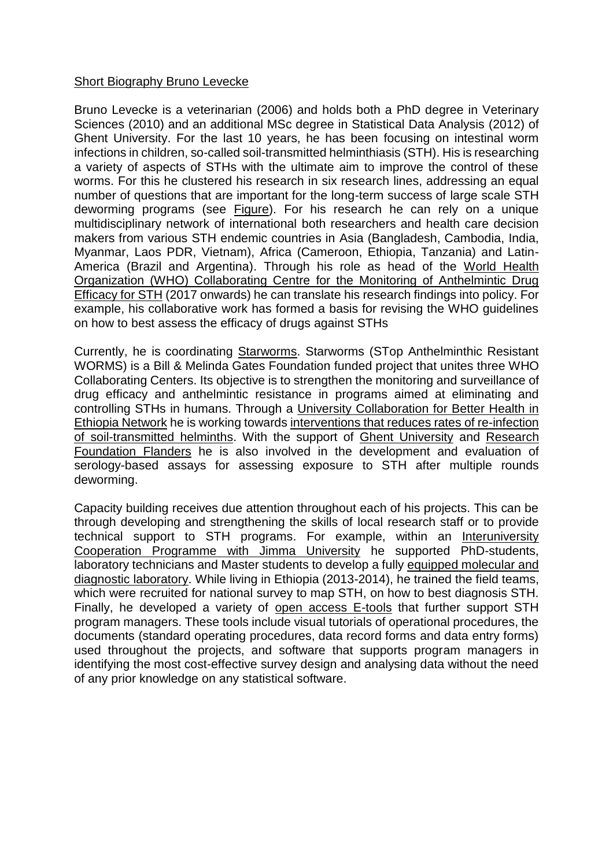## Short Biography Bruno Levecke

Bruno Levecke is a veterinarian (2006) and holds both a PhD degree in Veterinary Sciences (2010) and an additional MSc degree in Statistical Data Analysis (2012) of Ghent University. For the last 10 years, he has been focusing on intestinal worm infections in children, so-called soil-transmitted helminthiasis (STH). His is researching a variety of aspects of STHs with the ultimate aim to improve the control of these worms. For this he clustered his research in six research lines, addressing an equal number of questions that are important for the long-term success of large scale STH deworming programs (see Figure). For his research he can rely on a unique multidisciplinary network of international both researchers and health care decision makers from various STH endemic countries in Asia (Bangladesh, Cambodia, India, Myanmar, Laos PDR, Vietnam), Africa (Cameroon, Ethiopia, Tanzania) and Latin-America (Brazil and Argentina). Through his role as head of the World Health Organization (WHO) Collaborating Centre for the Monitoring of Anthelmintic Drug Efficacy for STH (2017 onwards) he can translate his research findings into policy. For example, his collaborative work has formed a basis for revising the WHO guidelines on how to best assess the efficacy of drugs against STHs

Currently, he is coordinating Starworms. Starworms (STop Anthelminthic Resistant WORMS) is a Bill & Melinda Gates Foundation funded project that unites three WHO Collaborating Centers. Its objective is to strengthen the monitoring and surveillance of drug efficacy and anthelmintic resistance in programs aimed at eliminating and controlling STHs in humans. Through a University Collaboration for Better Health in Ethiopia Network he is working towards interventions that reduces rates of re-infection of soil-transmitted helminths. With the support of Ghent University and Research Foundation Flanders he is also involved in the development and evaluation of serology-based assays for assessing exposure to STH after multiple rounds deworming.

Capacity building receives due attention throughout each of his projects. This can be through developing and strengthening the skills of local research staff or to provide technical support to STH programs. For example, within an Interuniversity Cooperation Programme with Jimma University he supported PhD-students, laboratory technicians and Master students to develop a fully equipped molecular and diagnostic laboratory. While living in Ethiopia (2013-2014), he trained the field teams, which were recruited for national survey to map STH, on how to best diagnosis STH. Finally, he developed a variety of open access E-tools that further support STH program managers. These tools include visual tutorials of operational procedures, the documents (standard operating procedures, data record forms and data entry forms) used throughout the projects, and software that supports program managers in identifying the most cost-effective survey design and analysing data without the need of any prior knowledge on any statistical software.